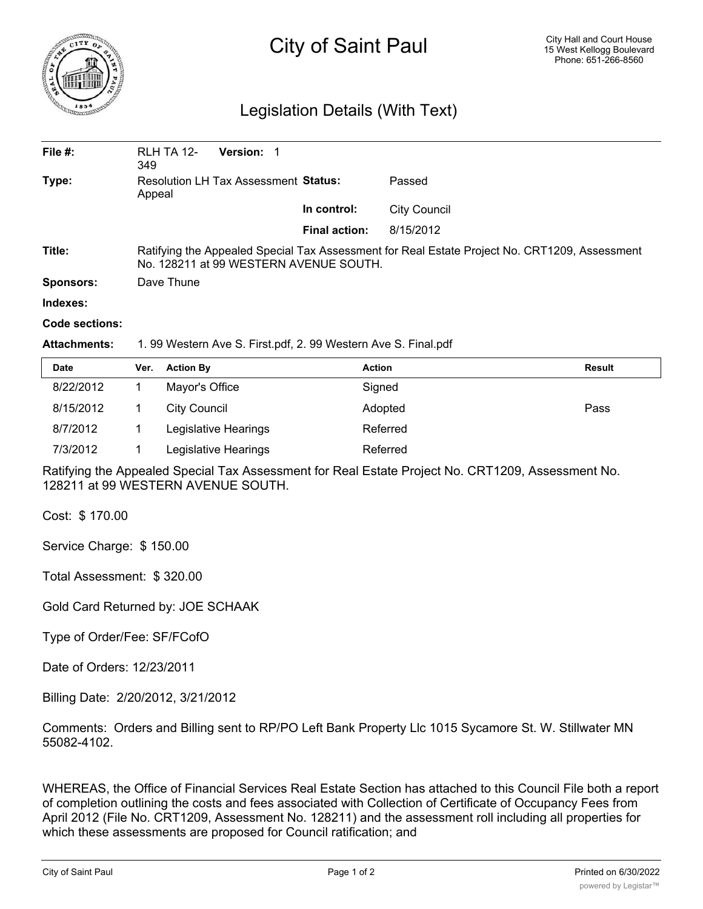

## City of Saint Paul

## Legislation Details (With Text)

| File $#$ :       | RLH TA 12-<br>349                                                                                                                       | Version: 1 |                      |              |  |  |
|------------------|-----------------------------------------------------------------------------------------------------------------------------------------|------------|----------------------|--------------|--|--|
| Type:            | <b>Resolution LH Tax Assessment Status:</b><br>Appeal                                                                                   |            |                      | Passed       |  |  |
|                  |                                                                                                                                         |            | In control:          | City Council |  |  |
|                  |                                                                                                                                         |            | <b>Final action:</b> | 8/15/2012    |  |  |
| Title:           | Ratifying the Appealed Special Tax Assessment for Real Estate Project No. CRT1209, Assessment<br>No. 128211 at 99 WESTERN AVENUE SOUTH. |            |                      |              |  |  |
| <b>Sponsors:</b> | Dave Thune                                                                                                                              |            |                      |              |  |  |
| Indexes:         |                                                                                                                                         |            |                      |              |  |  |
| Code sections:   |                                                                                                                                         |            |                      |              |  |  |

## **Attachments:** 1. 99 Western Ave S. First.pdf, 2. 99 Western Ave S. Final.pdf

| <b>Date</b> | Ver. | <b>Action By</b>     | Action   | Result |
|-------------|------|----------------------|----------|--------|
| 8/22/2012   |      | Mayor's Office       | Signed   |        |
| 8/15/2012   |      | <b>City Council</b>  | Adopted  | Pass   |
| 8/7/2012    |      | Legislative Hearings | Referred |        |
| 7/3/2012    |      | Legislative Hearings | Referred |        |

Ratifying the Appealed Special Tax Assessment for Real Estate Project No. CRT1209, Assessment No. 128211 at 99 WESTERN AVENUE SOUTH.

Cost: \$ 170.00

Service Charge: \$ 150.00

Total Assessment: \$ 320.00

Gold Card Returned by: JOE SCHAAK

Type of Order/Fee: SF/FCofO

Date of Orders: 12/23/2011

Billing Date: 2/20/2012, 3/21/2012

Comments: Orders and Billing sent to RP/PO Left Bank Property Llc 1015 Sycamore St. W. Stillwater MN 55082-4102.

WHEREAS, the Office of Financial Services Real Estate Section has attached to this Council File both a report of completion outlining the costs and fees associated with Collection of Certificate of Occupancy Fees from April 2012 (File No. CRT1209, Assessment No. 128211) and the assessment roll including all properties for which these assessments are proposed for Council ratification; and